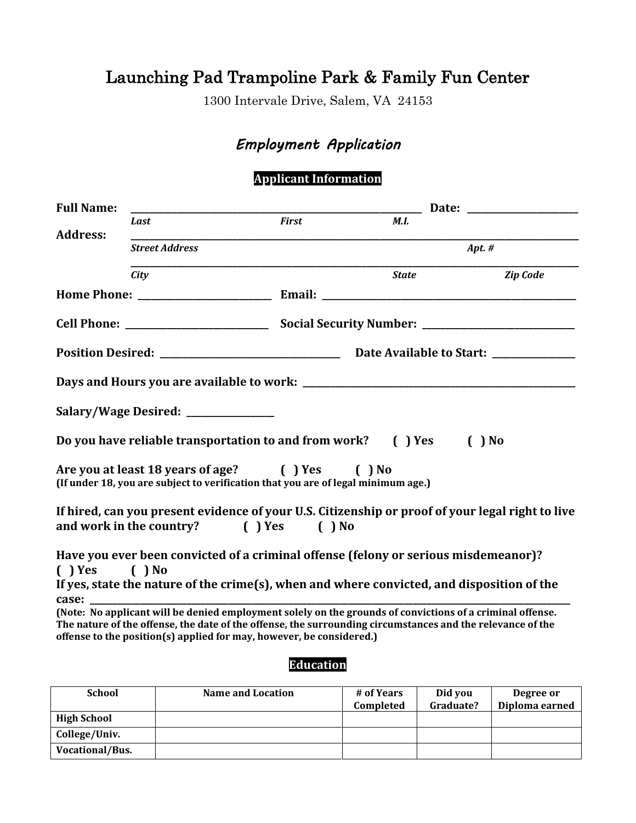# Launching Pad Trampoline Park & Family Fun Center

1300 Intervale Drive, Salem, VA 24153

# *Employment Application*

### **Applicant Information**

| <b>Full Name:</b> |                                     |                                                                                                                                                                                                                                                                                                 |              |          | Date: the contract of the contract of the contract of the contract of the contract of the contract of the contract of the contract of the contract of the contract of the contract of the contract of the contract of the cont |
|-------------------|-------------------------------------|-------------------------------------------------------------------------------------------------------------------------------------------------------------------------------------------------------------------------------------------------------------------------------------------------|--------------|----------|--------------------------------------------------------------------------------------------------------------------------------------------------------------------------------------------------------------------------------|
|                   | Last                                | <b>First</b>                                                                                                                                                                                                                                                                                    | <b>M.I.</b>  |          |                                                                                                                                                                                                                                |
| <b>Address:</b>   | <b>Street Address</b>               |                                                                                                                                                                                                                                                                                                 |              | Apt. $#$ |                                                                                                                                                                                                                                |
|                   | City                                |                                                                                                                                                                                                                                                                                                 | <b>State</b> |          | <b>Zip Code</b>                                                                                                                                                                                                                |
|                   |                                     |                                                                                                                                                                                                                                                                                                 |              |          |                                                                                                                                                                                                                                |
|                   |                                     |                                                                                                                                                                                                                                                                                                 |              |          |                                                                                                                                                                                                                                |
|                   |                                     |                                                                                                                                                                                                                                                                                                 |              |          |                                                                                                                                                                                                                                |
|                   |                                     |                                                                                                                                                                                                                                                                                                 |              |          |                                                                                                                                                                                                                                |
|                   | Salary/Wage Desired: ______________ |                                                                                                                                                                                                                                                                                                 |              |          |                                                                                                                                                                                                                                |
|                   |                                     | Do you have reliable transportation to and from work? () Yes                                                                                                                                                                                                                                    |              | $( )$ No |                                                                                                                                                                                                                                |
|                   |                                     | Are you at least 18 years of age? () Yes () No<br>(If under 18, you are subject to verification that you are of legal minimum age.)                                                                                                                                                             |              |          |                                                                                                                                                                                                                                |
|                   |                                     | If hired, can you present evidence of your U.S. Citizenship or proof of your legal right to live<br>and work in the country? ( ) Yes ( ) No                                                                                                                                                     |              |          |                                                                                                                                                                                                                                |
| ( ) Yes ( ) No    |                                     | Have you ever been convicted of a criminal offense (felony or serious misdemeanor)?                                                                                                                                                                                                             |              |          |                                                                                                                                                                                                                                |
| case:             |                                     | If yes, state the nature of the crime(s), when and where convicted, and disposition of the                                                                                                                                                                                                      |              |          |                                                                                                                                                                                                                                |
|                   |                                     | (Note: No applicant will be denied employment solely on the grounds of convictions of a criminal offense.<br>The nature of the offense, the date of the offense, the surrounding circumstances and the relevance of the<br>offense to the position(s) applied for may, however, be considered.) |              |          |                                                                                                                                                                                                                                |
|                   |                                     |                                                                                                                                                                                                                                                                                                 |              |          |                                                                                                                                                                                                                                |

#### **Education**

| <b>School</b>      | <b>Name and Location</b> | # of Years<br>Completed | Did you<br>Graduate? | Degree or<br>Diploma earned |
|--------------------|--------------------------|-------------------------|----------------------|-----------------------------|
| <b>High School</b> |                          |                         |                      |                             |
| College/Univ.      |                          |                         |                      |                             |
| Vocational/Bus.    |                          |                         |                      |                             |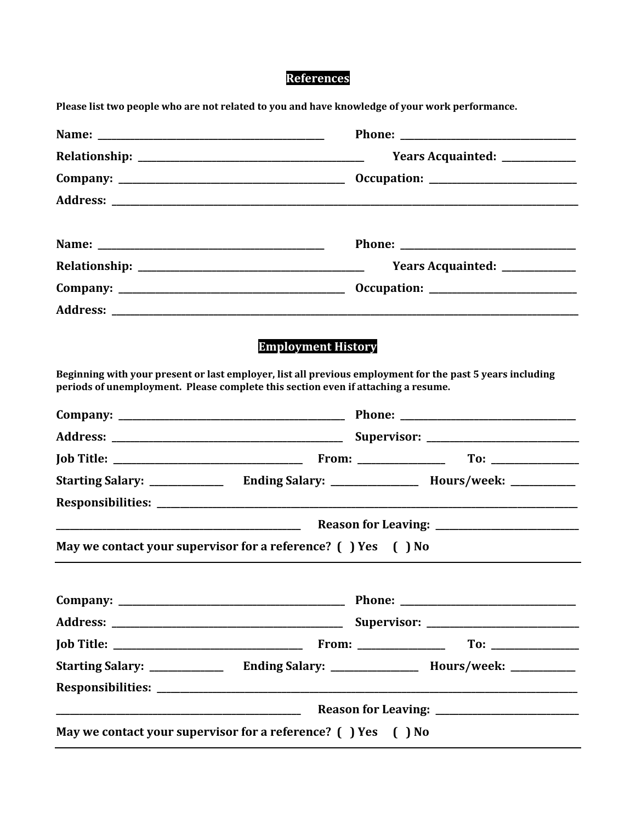# References

Please list two people who are not related to you and have knowledge of your work performance.

|                                                                                                                                                                                                | Years Acquainted: ____________ |  |
|------------------------------------------------------------------------------------------------------------------------------------------------------------------------------------------------|--------------------------------|--|
|                                                                                                                                                                                                |                                |  |
|                                                                                                                                                                                                |                                |  |
|                                                                                                                                                                                                |                                |  |
|                                                                                                                                                                                                | Years Acquainted: ____________ |  |
|                                                                                                                                                                                                |                                |  |
|                                                                                                                                                                                                |                                |  |
| Beginning with your present or last employer, list all previous employment for the past 5 years including<br>periods of unemployment. Please complete this section even if attaching a resume. |                                |  |
|                                                                                                                                                                                                |                                |  |
|                                                                                                                                                                                                |                                |  |
|                                                                                                                                                                                                |                                |  |
|                                                                                                                                                                                                |                                |  |
|                                                                                                                                                                                                |                                |  |
|                                                                                                                                                                                                |                                |  |
|                                                                                                                                                                                                |                                |  |
| May we contact your supervisor for a reference? () Yes () No                                                                                                                                   |                                |  |
|                                                                                                                                                                                                |                                |  |
|                                                                                                                                                                                                |                                |  |
|                                                                                                                                                                                                |                                |  |
|                                                                                                                                                                                                |                                |  |
|                                                                                                                                                                                                |                                |  |